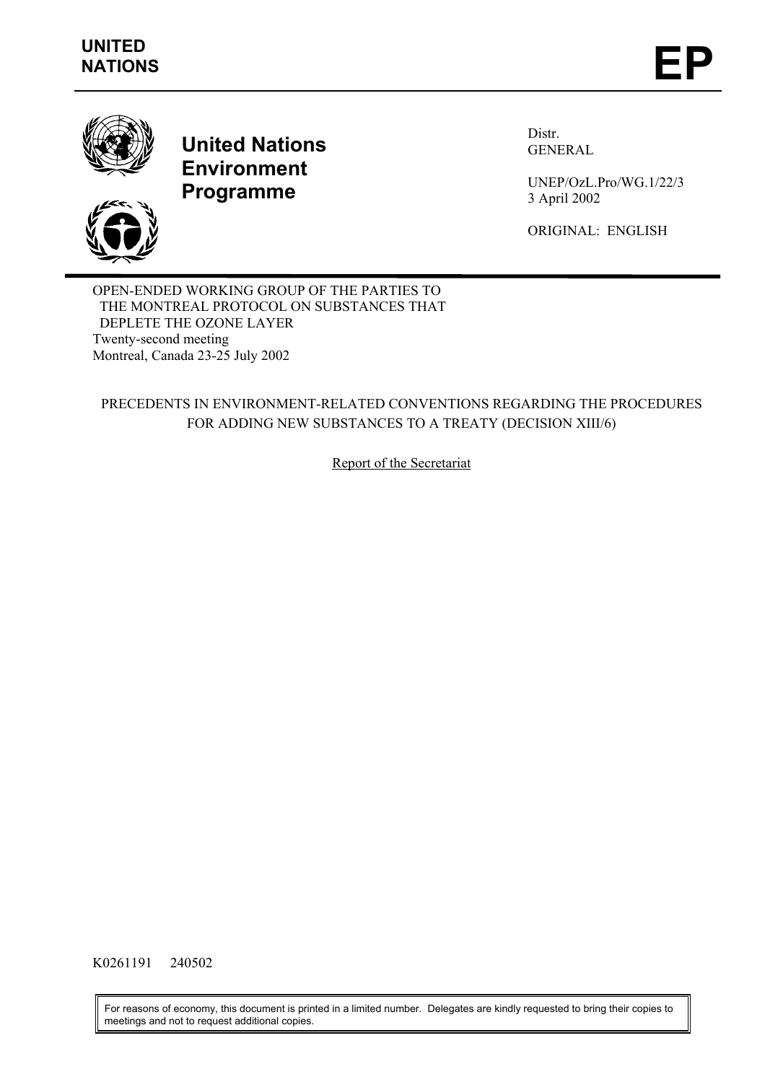

# **United Nations Environment Programme**

Distr. GENERAL

UNEP/OzL.Pro/WG.1/22/3 3 April 2002

ORIGINAL: ENGLISH

OPEN-ENDED WORKING GROUP OF THE PARTIES TO THE MONTREAL PROTOCOL ON SUBSTANCES THAT DEPLETE THE OZONE LAYER Twenty-second meeting Montreal, Canada 23-25 July 2002

# PRECEDENTS IN ENVIRONMENT-RELATED CONVENTIONS REGARDING THE PROCEDURES FOR ADDING NEW SUBSTANCES TO A TREATY (DECISION XIII/6)

Report of the Secretariat

K0261191 240502

For reasons of economy, this document is printed in a limited number. Delegates are kindly requested to bring their copies to meetings and not to request additional copies.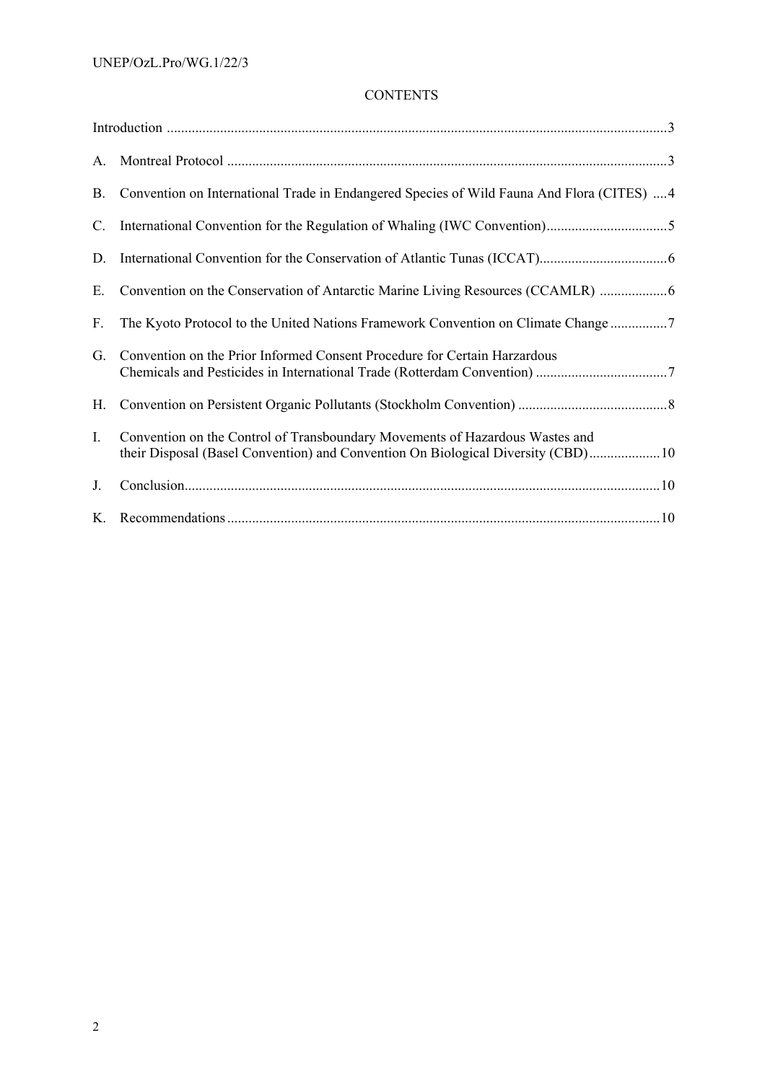# **CONTENTS**

| A.             |                                                                                                                                                                  |
|----------------|------------------------------------------------------------------------------------------------------------------------------------------------------------------|
| B.             | Convention on International Trade in Endangered Species of Wild Fauna And Flora (CITES) 4                                                                        |
| C.             |                                                                                                                                                                  |
| D.             |                                                                                                                                                                  |
| Е.             | Convention on the Conservation of Antarctic Marine Living Resources (CCAMLR)                                                                                     |
| $F_{\cdot}$    | The Kyoto Protocol to the United Nations Framework Convention on Climate Change                                                                                  |
| G.             | Convention on the Prior Informed Consent Procedure for Certain Harzardous                                                                                        |
| Н.             |                                                                                                                                                                  |
| $\mathbf{I}$ . | Convention on the Control of Transboundary Movements of Hazardous Wastes and<br>their Disposal (Basel Convention) and Convention On Biological Diversity (CBD)10 |
| J.             |                                                                                                                                                                  |
| $K_{-}$        |                                                                                                                                                                  |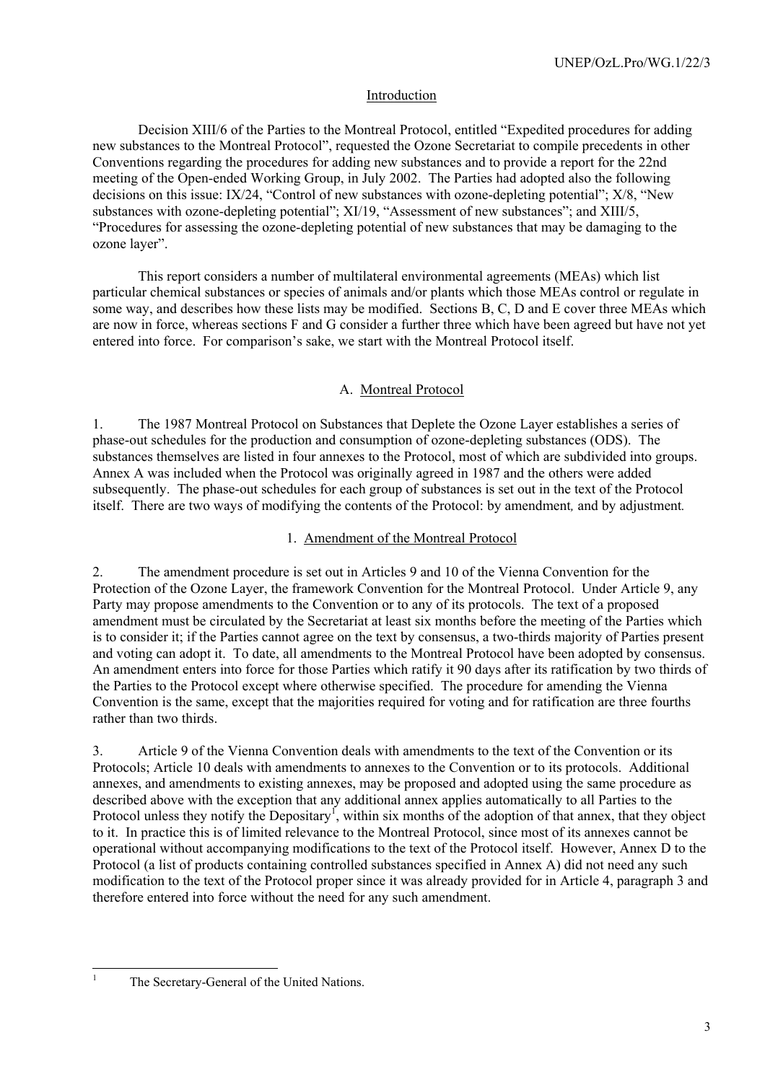# Introduction

<span id="page-2-0"></span>Decision XIII/6 of the Parties to the Montreal Protocol, entitled "Expedited procedures for adding new substances to the Montreal Protocol", requested the Ozone Secretariat to compile precedents in other Conventions regarding the procedures for adding new substances and to provide a report for the 22nd meeting of the Open-ended Working Group, in July 2002. The Parties had adopted also the following decisions on this issue: IX/24, "Control of new substances with ozone-depleting potential"; X/8, "New substances with ozone-depleting potential"; XI/19, "Assessment of new substances"; and XIII/5, "Procedures for assessing the ozone-depleting potential of new substances that may be damaging to the ozone layer".

This report considers a number of multilateral environmental agreements (MEAs) which list particular chemical substances or species of animals and/or plants which those MEAs control or regulate in some way, and describes how these lists may be modified. Sections B, C, D and E cover three MEAs which are now in force, whereas sections F and G consider a further three which have been agreed but have not yet entered into force. For comparison's sake, we start with the Montreal Protocol itself.

# A. Montreal Protocol

1. The 1987 Montreal Protocol on Substances that Deplete the Ozone Layer establishes a series of phase-out schedules for the production and consumption of ozone-depleting substances (ODS). The substances themselves are listed in four annexes to the Protocol, most of which are subdivided into groups. Annex A was included when the Protocol was originally agreed in 1987 and the others were added subsequently. The phase-out schedules for each group of substances is set out in the text of the Protocol itself. There are two ways of modifying the contents of the Protocol: by amendment*,* and by adjustment*.* 

# 1. Amendment of the Montreal Protocol

2. The amendment procedure is set out in Articles 9 and 10 of the Vienna Convention for the Protection of the Ozone Layer, the framework Convention for the Montreal Protocol. Under Article 9, any Party may propose amendments to the Convention or to any of its protocols. The text of a proposed amendment must be circulated by the Secretariat at least six months before the meeting of the Parties which is to consider it; if the Parties cannot agree on the text by consensus, a two-thirds majority of Parties present and voting can adopt it. To date, all amendments to the Montreal Protocol have been adopted by consensus. An amendment enters into force for those Parties which ratify it 90 days after its ratification by two thirds of the Parties to the Protocol except where otherwise specified. The procedure for amending the Vienna Convention is the same, except that the majorities required for voting and for ratification are three fourths rather than two thirds.

3. Article 9 of the Vienna Convention deals with amendments to the text of the Convention or its Protocols; Article 10 deals with amendments to annexes to the Convention or to its protocols. Additional annexes, and amendments to existing annexes, may be proposed and adopted using the same procedure as described above with the exception that any additional annex applies automatically to all Parties to the Protocol unless they notify the Depositary<sup>[1](#page-2-1)</sup>, within six months of the adoption of that annex, that they object to it. In practice this is of limited relevance to the Montreal Protocol, since most of its annexes cannot be operational without accompanying modifications to the text of the Protocol itself. However, Annex D to the Protocol (a list of products containing controlled substances specified in Annex A) did not need any such modification to the text of the Protocol proper since it was already provided for in Article 4, paragraph 3 and therefore entered into force without the need for any such amendment.

<span id="page-2-1"></span> $\frac{1}{1}$ 

The Secretary-General of the United Nations.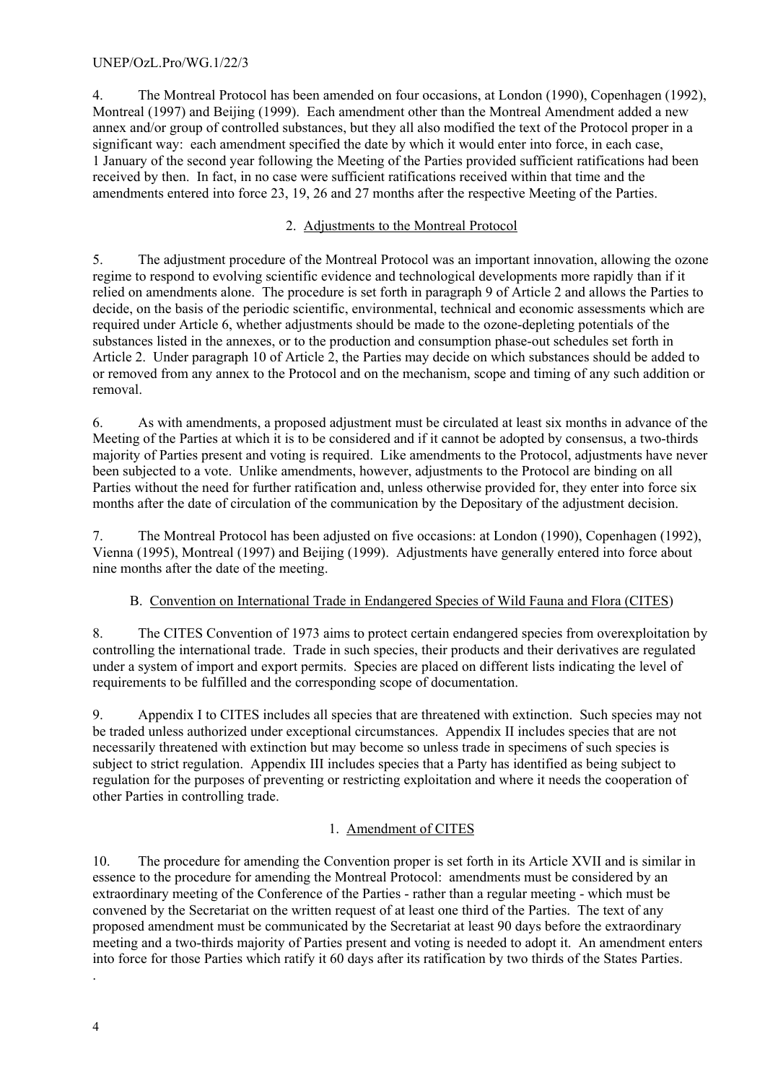<span id="page-3-0"></span>4. The Montreal Protocol has been amended on four occasions, at London (1990), Copenhagen (1992), Montreal (1997) and Beijing (1999). Each amendment other than the Montreal Amendment added a new annex and/or group of controlled substances, but they all also modified the text of the Protocol proper in a significant way: each amendment specified the date by which it would enter into force, in each case, 1 January of the second year following the Meeting of the Parties provided sufficient ratifications had been received by then. In fact, in no case were sufficient ratifications received within that time and the amendments entered into force 23, 19, 26 and 27 months after the respective Meeting of the Parties.

# 2. Adjustments to the Montreal Protocol

5. The adjustment procedure of the Montreal Protocol was an important innovation, allowing the ozone regime to respond to evolving scientific evidence and technological developments more rapidly than if it relied on amendments alone. The procedure is set forth in paragraph 9 of Article 2 and allows the Parties to decide, on the basis of the periodic scientific, environmental, technical and economic assessments which are required under Article 6, whether adjustments should be made to the ozone-depleting potentials of the substances listed in the annexes, or to the production and consumption phase-out schedules set forth in Article 2. Under paragraph 10 of Article 2, the Parties may decide on which substances should be added to or removed from any annex to the Protocol and on the mechanism, scope and timing of any such addition or removal.

6. As with amendments, a proposed adjustment must be circulated at least six months in advance of the Meeting of the Parties at which it is to be considered and if it cannot be adopted by consensus, a two-thirds majority of Parties present and voting is required. Like amendments to the Protocol, adjustments have never been subjected to a vote. Unlike amendments, however, adjustments to the Protocol are binding on all Parties without the need for further ratification and, unless otherwise provided for, they enter into force six months after the date of circulation of the communication by the Depositary of the adjustment decision.

7. The Montreal Protocol has been adjusted on five occasions: at London (1990), Copenhagen (1992), Vienna (1995), Montreal (1997) and Beijing (1999). Adjustments have generally entered into force about nine months after the date of the meeting.

# B. Convention on International Trade in Endangered Species of Wild Fauna and Flora (CITES)

8. The CITES Convention of 1973 aims to protect certain endangered species from overexploitation by controlling the international trade. Trade in such species, their products and their derivatives are regulated under a system of import and export permits. Species are placed on different lists indicating the level of requirements to be fulfilled and the corresponding scope of documentation.

9. Appendix I to CITES includes all species that are threatened with extinction. Such species may not be traded unless authorized under exceptional circumstances. Appendix II includes species that are not necessarily threatened with extinction but may become so unless trade in specimens of such species is subject to strict regulation. Appendix III includes species that a Party has identified as being subject to regulation for the purposes of preventing or restricting exploitation and where it needs the cooperation of other Parties in controlling trade.

# 1. Amendment of CITES

10. The procedure for amending the Convention proper is set forth in its Article XVII and is similar in essence to the procedure for amending the Montreal Protocol: amendments must be considered by an extraordinary meeting of the Conference of the Parties - rather than a regular meeting - which must be convened by the Secretariat on the written request of at least one third of the Parties. The text of any proposed amendment must be communicated by the Secretariat at least 90 days before the extraordinary meeting and a two-thirds majority of Parties present and voting is needed to adopt it. An amendment enters into force for those Parties which ratify it 60 days after its ratification by two thirds of the States Parties.

.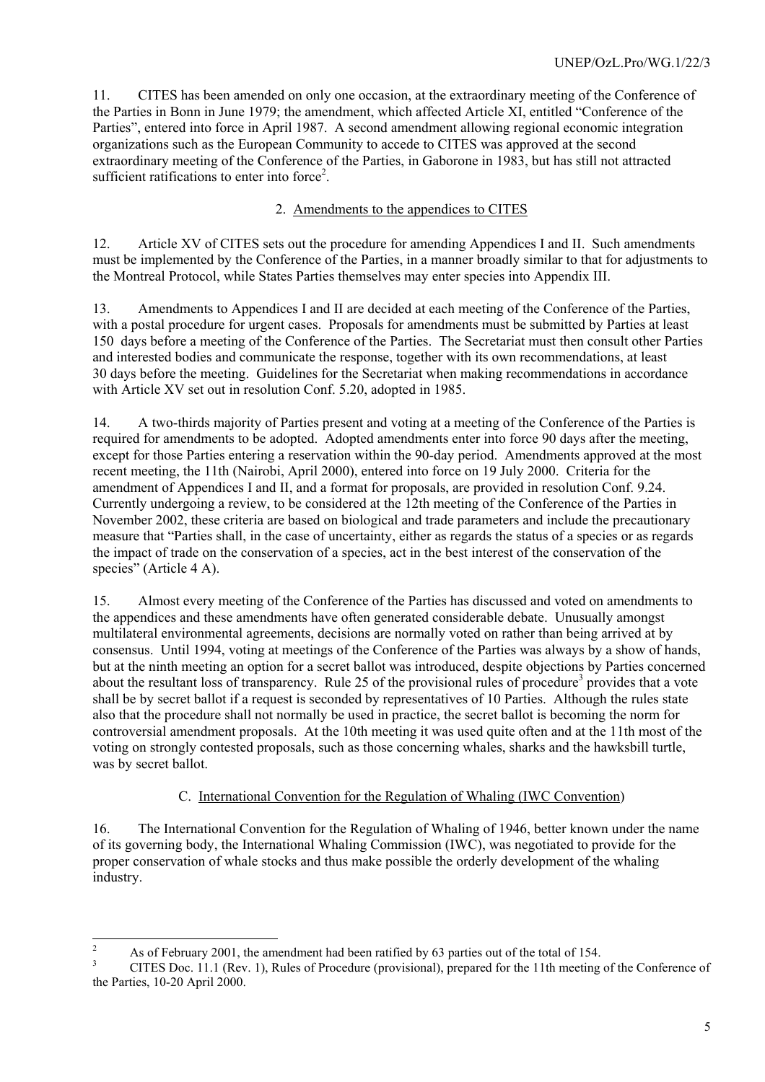<span id="page-4-0"></span>11. CITES has been amended on only one occasion, at the extraordinary meeting of the Conference of the Parties in Bonn in June 1979; the amendment, which affected Article XI, entitled "Conference of the Parties", entered into force in April 1987. A second amendment allowing regional economic integration organizations such as the European Community to accede to CITES was approved at the second extraordinary meeting of the Conference of the Parties, in Gaborone in 1983, but has still not attracted sufficient ratifications to enter into force<sup>[2](#page-4-1)</sup>.

# 2. Amendments to the appendices to CITES

12. Article XV of CITES sets out the procedure for amending Appendices I and II. Such amendments must be implemented by the Conference of the Parties, in a manner broadly similar to that for adjustments to the Montreal Protocol, while States Parties themselves may enter species into Appendix III.

13. Amendments to Appendices I and II are decided at each meeting of the Conference of the Parties, with a postal procedure for urgent cases. Proposals for amendments must be submitted by Parties at least 150 days before a meeting of the Conference of the Parties. The Secretariat must then consult other Parties and interested bodies and communicate the response, together with its own recommendations, at least 30 days before the meeting. Guidelines for the Secretariat when making recommendations in accordance with Article XV set out in resolution Conf. 5.20, adopted in 1985.

14. A two-thirds majority of Parties present and voting at a meeting of the Conference of the Parties is required for amendments to be adopted. Adopted amendments enter into force 90 days after the meeting, except for those Parties entering a reservation within the 90-day period. Amendments approved at the most recent meeting, the 11th (Nairobi, April 2000), entered into force on 19 July 2000. Criteria for the amendment of Appendices I and II, and a format for proposals, are provided in resolution Conf. 9.24. Currently undergoing a review, to be considered at the 12th meeting of the Conference of the Parties in November 2002, these criteria are based on biological and trade parameters and include the precautionary measure that "Parties shall, in the case of uncertainty, either as regards the status of a species or as regards the impact of trade on the conservation of a species, act in the best interest of the conservation of the species" (Article 4 A).

15. Almost every meeting of the Conference of the Parties has discussed and voted on amendments to the appendices and these amendments have often generated considerable debate. Unusually amongst multilateral environmental agreements, decisions are normally voted on rather than being arrived at by consensus. Until 1994, voting at meetings of the Conference of the Parties was always by a show of hands, but at the ninth meeting an option for a secret ballot was introduced, despite objections by Parties concerned about the resultant loss of transparency. Rule 25 of the provisional rules of procedure<sup>[3](#page-4-2)</sup> provides that a vote shall be by secret ballot if a request is seconded by representatives of 10 Parties. Although the rules state also that the procedure shall not normally be used in practice, the secret ballot is becoming the norm for controversial amendment proposals. At the 10th meeting it was used quite often and at the 11th most of the voting on strongly contested proposals, such as those concerning whales, sharks and the hawksbill turtle, was by secret ballot.

# C. International Convention for the Regulation of Whaling (IWC Convention)

16. The International Convention for the Regulation of Whaling of 1946, better known under the name of its governing body, the International Whaling Commission (IWC), was negotiated to provide for the proper conservation of whale stocks and thus make possible the orderly development of the whaling industry.

 $\frac{1}{2}$ As of February 2001, the amendment had been ratified by 63 parties out of the total of 154.

<span id="page-4-2"></span><span id="page-4-1"></span><sup>3</sup> CITES Doc. 11.1 (Rev. 1), Rules of Procedure (provisional), prepared for the 11th meeting of the Conference of the Parties, 10-20 April 2000.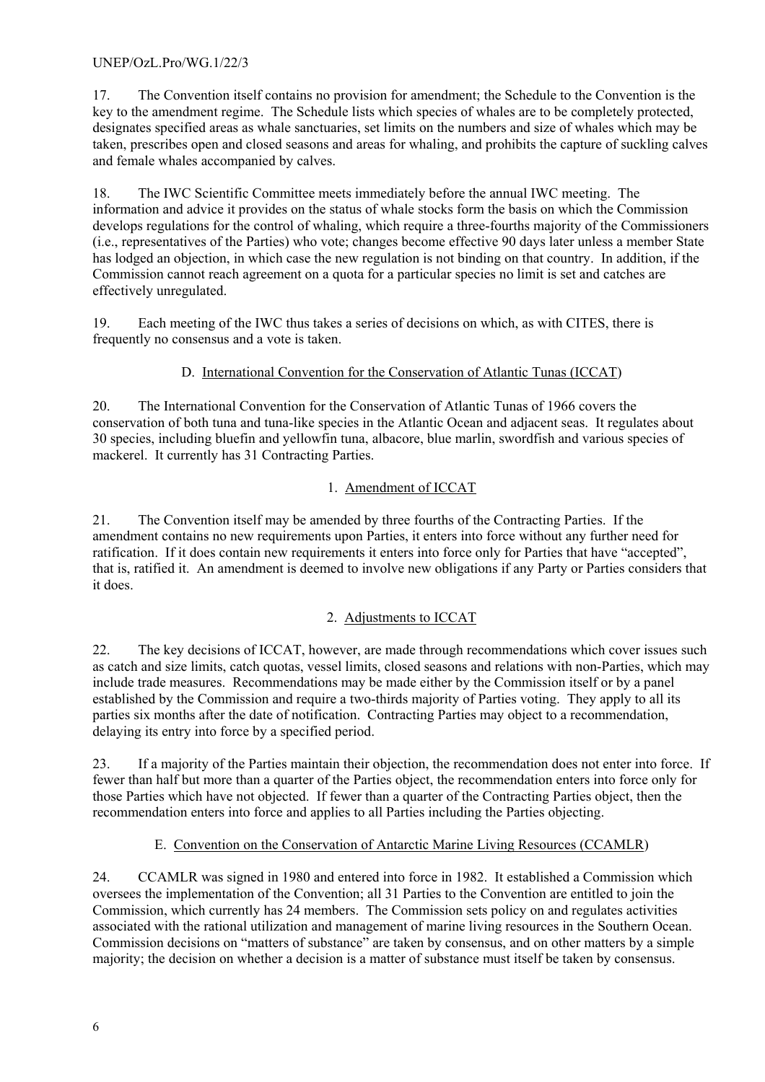<span id="page-5-0"></span>17. The Convention itself contains no provision for amendment; the Schedule to the Convention is the key to the amendment regime. The Schedule lists which species of whales are to be completely protected, designates specified areas as whale sanctuaries, set limits on the numbers and size of whales which may be taken, prescribes open and closed seasons and areas for whaling, and prohibits the capture of suckling calves and female whales accompanied by calves.

18. The IWC Scientific Committee meets immediately before the annual IWC meeting. The information and advice it provides on the status of whale stocks form the basis on which the Commission develops regulations for the control of whaling, which require a three-fourths majority of the Commissioners (i.e., representatives of the Parties) who vote; changes become effective 90 days later unless a member State has lodged an objection, in which case the new regulation is not binding on that country. In addition, if the Commission cannot reach agreement on a quota for a particular species no limit is set and catches are effectively unregulated.

19. Each meeting of the IWC thus takes a series of decisions on which, as with CITES, there is frequently no consensus and a vote is taken.

# D. International Convention for the Conservation of Atlantic Tunas (ICCAT)

20. The International Convention for the Conservation of Atlantic Tunas of 1966 covers the conservation of both tuna and tuna-like species in the Atlantic Ocean and adjacent seas. It regulates about 30 species, including bluefin and yellowfin tuna, albacore, blue marlin, swordfish and various species of mackerel. It currently has 31 Contracting Parties.

# 1. Amendment of ICCAT

21. The Convention itself may be amended by three fourths of the Contracting Parties. If the amendment contains no new requirements upon Parties, it enters into force without any further need for ratification. If it does contain new requirements it enters into force only for Parties that have "accepted", that is, ratified it. An amendment is deemed to involve new obligations if any Party or Parties considers that it does.

# 2. Adjustments to ICCAT

22. The key decisions of ICCAT, however, are made through recommendations which cover issues such as catch and size limits, catch quotas, vessel limits, closed seasons and relations with non-Parties, which may include trade measures. Recommendations may be made either by the Commission itself or by a panel established by the Commission and require a two-thirds majority of Parties voting. They apply to all its parties six months after the date of notification. Contracting Parties may object to a recommendation, delaying its entry into force by a specified period.

23. If a majority of the Parties maintain their objection, the recommendation does not enter into force. If fewer than half but more than a quarter of the Parties object, the recommendation enters into force only for those Parties which have not objected. If fewer than a quarter of the Contracting Parties object, then the recommendation enters into force and applies to all Parties including the Parties objecting.

# E. Convention on the Conservation of Antarctic Marine Living Resources (CCAMLR)

24. CCAMLR was signed in 1980 and entered into force in 1982. It established a Commission which oversees the implementation of the Convention; all 31 Parties to the Convention are entitled to join the Commission, which currently has 24 members. The Commission sets policy on and regulates activities associated with the rational utilization and management of marine living resources in the Southern Ocean. Commission decisions on "matters of substance" are taken by consensus, and on other matters by a simple majority; the decision on whether a decision is a matter of substance must itself be taken by consensus.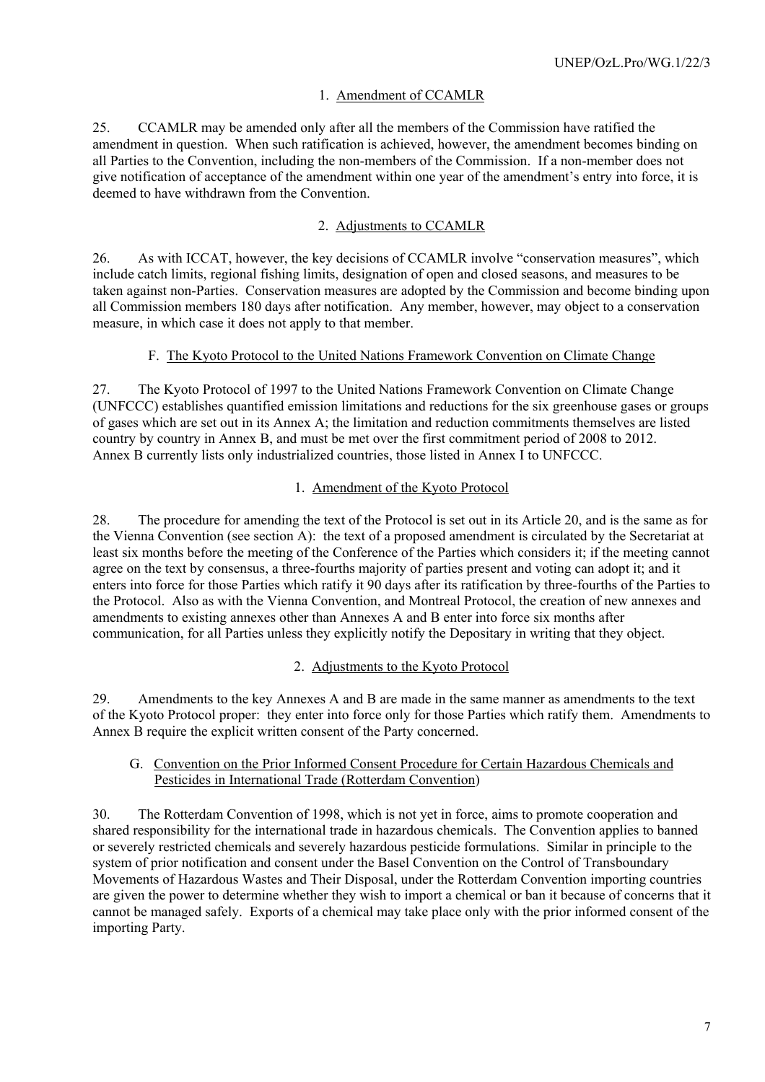#### 1. Amendment of CCAMLR

<span id="page-6-0"></span>25. CCAMLR may be amended only after all the members of the Commission have ratified the amendment in question. When such ratification is achieved, however, the amendment becomes binding on all Parties to the Convention, including the non-members of the Commission. If a non-member does not give notification of acceptance of the amendment within one year of the amendment's entry into force, it is deemed to have withdrawn from the Convention.

#### 2. Adjustments to CCAMLR

26. As with ICCAT, however, the key decisions of CCAMLR involve "conservation measures", which include catch limits, regional fishing limits, designation of open and closed seasons, and measures to be taken against non-Parties. Conservation measures are adopted by the Commission and become binding upon all Commission members 180 days after notification. Any member, however, may object to a conservation measure, in which case it does not apply to that member.

#### F. The Kyoto Protocol to the United Nations Framework Convention on Climate Change

27. The Kyoto Protocol of 1997 to the United Nations Framework Convention on Climate Change (UNFCCC) establishes quantified emission limitations and reductions for the six greenhouse gases or groups of gases which are set out in its Annex A; the limitation and reduction commitments themselves are listed country by country in Annex B, and must be met over the first commitment period of 2008 to 2012. Annex B currently lists only industrialized countries, those listed in Annex I to UNFCCC.

#### 1. Amendment of the Kyoto Protocol

28. The procedure for amending the text of the Protocol is set out in its Article 20, and is the same as for the Vienna Convention (see section A): the text of a proposed amendment is circulated by the Secretariat at least six months before the meeting of the Conference of the Parties which considers it; if the meeting cannot agree on the text by consensus, a three-fourths majority of parties present and voting can adopt it; and it enters into force for those Parties which ratify it 90 days after its ratification by three-fourths of the Parties to the Protocol. Also as with the Vienna Convention, and Montreal Protocol, the creation of new annexes and amendments to existing annexes other than Annexes A and B enter into force six months after communication, for all Parties unless they explicitly notify the Depositary in writing that they object.

#### 2. Adjustments to the Kyoto Protocol

29. Amendments to the key Annexes A and B are made in the same manner as amendments to the text of the Kyoto Protocol proper: they enter into force only for those Parties which ratify them. Amendments to Annex B require the explicit written consent of the Party concerned.

#### G. Convention on the Prior Informed Consent Procedure for Certain Hazardous Chemicals and Pesticides in International Trade (Rotterdam Convention)

30. The Rotterdam Convention of 1998, which is not yet in force, aims to promote cooperation and shared responsibility for the international trade in hazardous chemicals. The Convention applies to banned or severely restricted chemicals and severely hazardous pesticide formulations. Similar in principle to the system of prior notification and consent under the Basel Convention on the Control of Transboundary Movements of Hazardous Wastes and Their Disposal, under the Rotterdam Convention importing countries are given the power to determine whether they wish to import a chemical or ban it because of concerns that it cannot be managed safely. Exports of a chemical may take place only with the prior informed consent of the importing Party.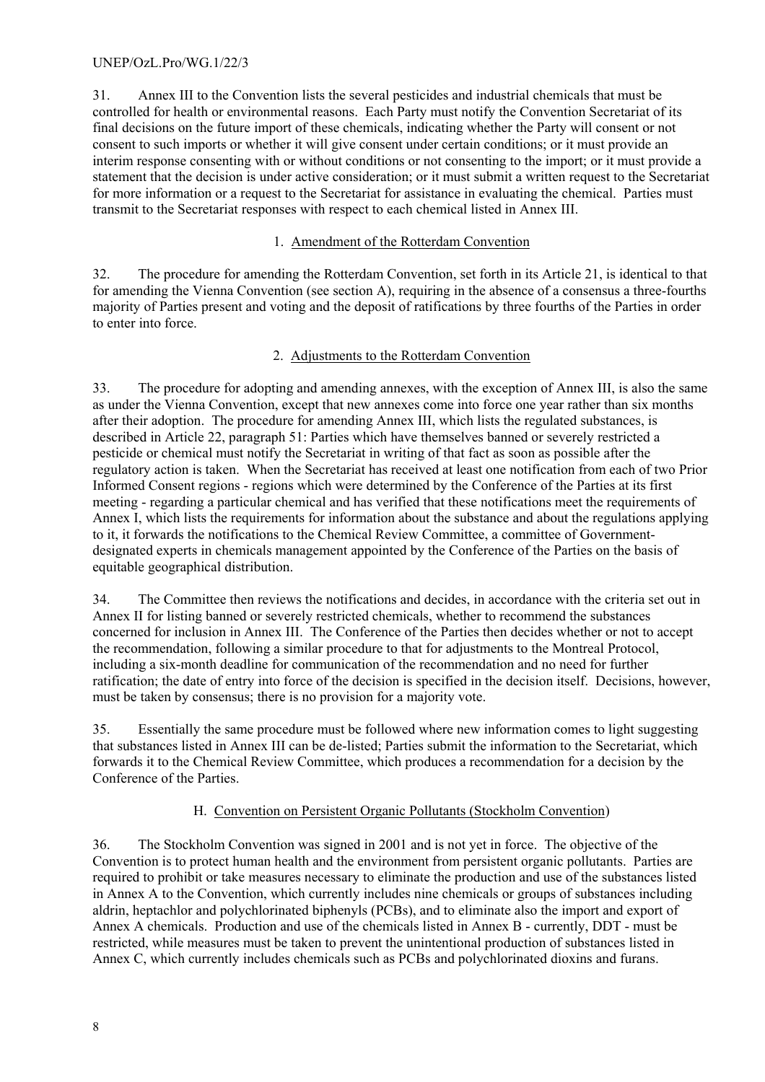<span id="page-7-0"></span>31. Annex III to the Convention lists the several pesticides and industrial chemicals that must be controlled for health or environmental reasons. Each Party must notify the Convention Secretariat of its final decisions on the future import of these chemicals, indicating whether the Party will consent or not consent to such imports or whether it will give consent under certain conditions; or it must provide an interim response consenting with or without conditions or not consenting to the import; or it must provide a statement that the decision is under active consideration; or it must submit a written request to the Secretariat for more information or a request to the Secretariat for assistance in evaluating the chemical. Parties must transmit to the Secretariat responses with respect to each chemical listed in Annex III.

# 1. Amendment of the Rotterdam Convention

32. The procedure for amending the Rotterdam Convention, set forth in its Article 21, is identical to that for amending the Vienna Convention (see section A), requiring in the absence of a consensus a three-fourths majority of Parties present and voting and the deposit of ratifications by three fourths of the Parties in order to enter into force.

# 2. Adjustments to the Rotterdam Convention

33. The procedure for adopting and amending annexes, with the exception of Annex III, is also the same as under the Vienna Convention, except that new annexes come into force one year rather than six months after their adoption. The procedure for amending Annex III, which lists the regulated substances, is described in Article 22, paragraph 51: Parties which have themselves banned or severely restricted a pesticide or chemical must notify the Secretariat in writing of that fact as soon as possible after the regulatory action is taken. When the Secretariat has received at least one notification from each of two Prior Informed Consent regions - regions which were determined by the Conference of the Parties at its first meeting - regarding a particular chemical and has verified that these notifications meet the requirements of Annex I, which lists the requirements for information about the substance and about the regulations applying to it, it forwards the notifications to the Chemical Review Committee, a committee of Governmentdesignated experts in chemicals management appointed by the Conference of the Parties on the basis of equitable geographical distribution.

34. The Committee then reviews the notifications and decides, in accordance with the criteria set out in Annex II for listing banned or severely restricted chemicals, whether to recommend the substances concerned for inclusion in Annex III. The Conference of the Parties then decides whether or not to accept the recommendation, following a similar procedure to that for adjustments to the Montreal Protocol, including a six-month deadline for communication of the recommendation and no need for further ratification; the date of entry into force of the decision is specified in the decision itself. Decisions, however, must be taken by consensus; there is no provision for a majority vote.

35. Essentially the same procedure must be followed where new information comes to light suggesting that substances listed in Annex III can be de-listed; Parties submit the information to the Secretariat, which forwards it to the Chemical Review Committee, which produces a recommendation for a decision by the Conference of the Parties.

# H. Convention on Persistent Organic Pollutants (Stockholm Convention)

36. The Stockholm Convention was signed in 2001 and is not yet in force. The objective of the Convention is to protect human health and the environment from persistent organic pollutants. Parties are required to prohibit or take measures necessary to eliminate the production and use of the substances listed in Annex A to the Convention, which currently includes nine chemicals or groups of substances including aldrin, heptachlor and polychlorinated biphenyls (PCBs), and to eliminate also the import and export of Annex A chemicals. Production and use of the chemicals listed in Annex B - currently, DDT - must be restricted, while measures must be taken to prevent the unintentional production of substances listed in Annex C, which currently includes chemicals such as PCBs and polychlorinated dioxins and furans.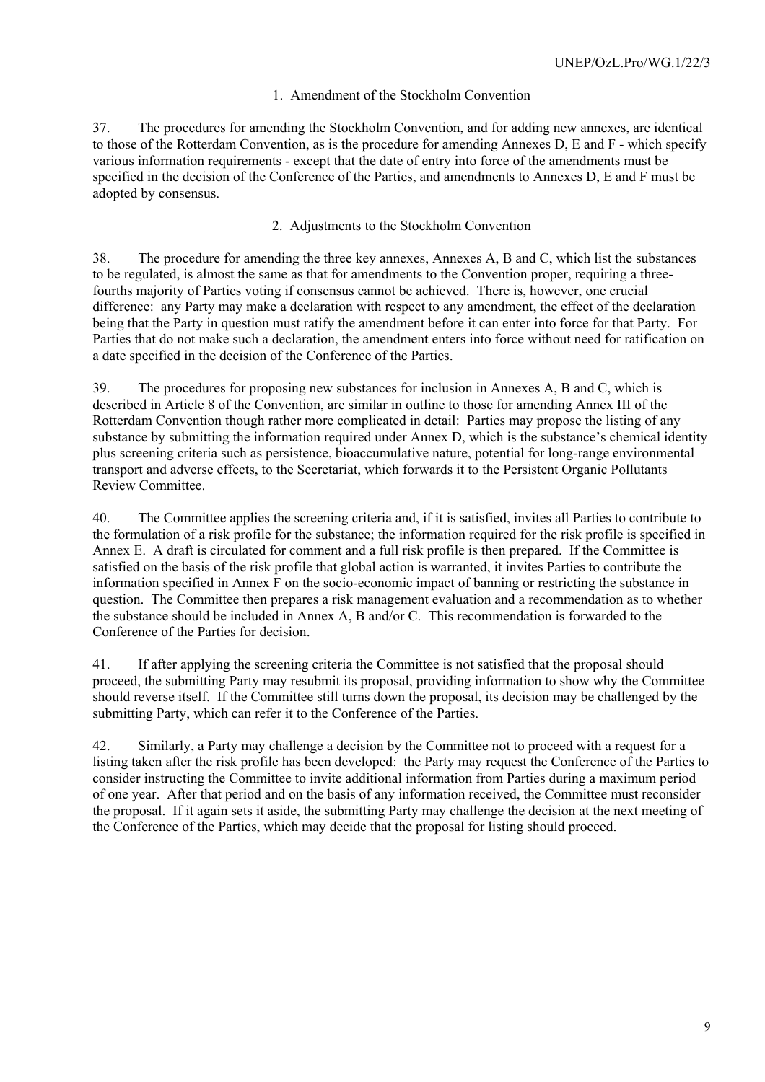# 1. Amendment of the Stockholm Convention

37. The procedures for amending the Stockholm Convention, and for adding new annexes, are identical to those of the Rotterdam Convention, as is the procedure for amending Annexes D, E and F - which specify various information requirements - except that the date of entry into force of the amendments must be specified in the decision of the Conference of the Parties, and amendments to Annexes D, E and F must be adopted by consensus.

# 2. Adjustments to the Stockholm Convention

38. The procedure for amending the three key annexes, Annexes A, B and C, which list the substances to be regulated, is almost the same as that for amendments to the Convention proper, requiring a threefourths majority of Parties voting if consensus cannot be achieved. There is, however, one crucial difference: any Party may make a declaration with respect to any amendment, the effect of the declaration being that the Party in question must ratify the amendment before it can enter into force for that Party. For Parties that do not make such a declaration, the amendment enters into force without need for ratification on a date specified in the decision of the Conference of the Parties.

39. The procedures for proposing new substances for inclusion in Annexes A, B and C, which is described in Article 8 of the Convention, are similar in outline to those for amending Annex III of the Rotterdam Convention though rather more complicated in detail: Parties may propose the listing of any substance by submitting the information required under Annex D, which is the substance's chemical identity plus screening criteria such as persistence, bioaccumulative nature, potential for long-range environmental transport and adverse effects, to the Secretariat, which forwards it to the Persistent Organic Pollutants Review Committee.

40. The Committee applies the screening criteria and, if it is satisfied, invites all Parties to contribute to the formulation of a risk profile for the substance; the information required for the risk profile is specified in Annex E. A draft is circulated for comment and a full risk profile is then prepared. If the Committee is satisfied on the basis of the risk profile that global action is warranted, it invites Parties to contribute the information specified in Annex F on the socio-economic impact of banning or restricting the substance in question. The Committee then prepares a risk management evaluation and a recommendation as to whether the substance should be included in Annex A, B and/or C. This recommendation is forwarded to the Conference of the Parties for decision.

41. If after applying the screening criteria the Committee is not satisfied that the proposal should proceed, the submitting Party may resubmit its proposal, providing information to show why the Committee should reverse itself. If the Committee still turns down the proposal, its decision may be challenged by the submitting Party, which can refer it to the Conference of the Parties.

42. Similarly, a Party may challenge a decision by the Committee not to proceed with a request for a listing taken after the risk profile has been developed: the Party may request the Conference of the Parties to consider instructing the Committee to invite additional information from Parties during a maximum period of one year. After that period and on the basis of any information received, the Committee must reconsider the proposal. If it again sets it aside, the submitting Party may challenge the decision at the next meeting of the Conference of the Parties, which may decide that the proposal for listing should proceed.